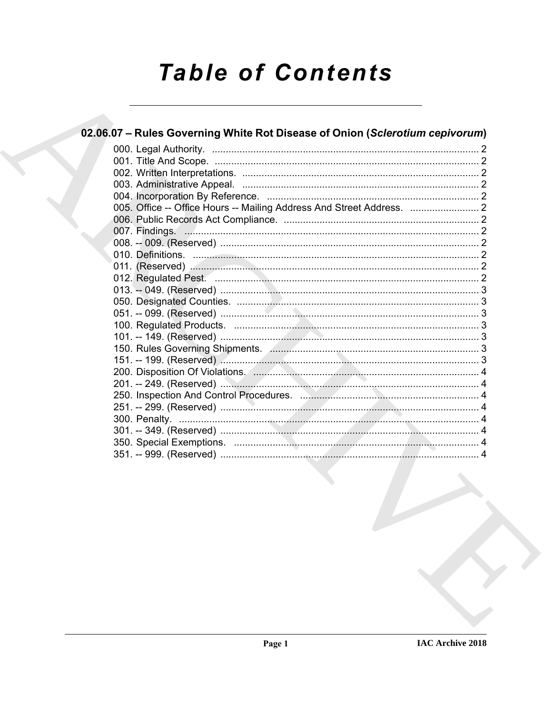# **Table of Contents**

| 02.06.07 - Rules Governing White Rot Disease of Onion (Sclerotium cepivorum) |  |
|------------------------------------------------------------------------------|--|
|                                                                              |  |
|                                                                              |  |
|                                                                              |  |
|                                                                              |  |
|                                                                              |  |
|                                                                              |  |
|                                                                              |  |
|                                                                              |  |
|                                                                              |  |
|                                                                              |  |
|                                                                              |  |
|                                                                              |  |
|                                                                              |  |
|                                                                              |  |
|                                                                              |  |
|                                                                              |  |
|                                                                              |  |
| 150. Rules Governing Shipments. Annual Communication and St. 3               |  |
|                                                                              |  |
|                                                                              |  |
|                                                                              |  |
|                                                                              |  |
|                                                                              |  |
|                                                                              |  |
|                                                                              |  |
|                                                                              |  |
|                                                                              |  |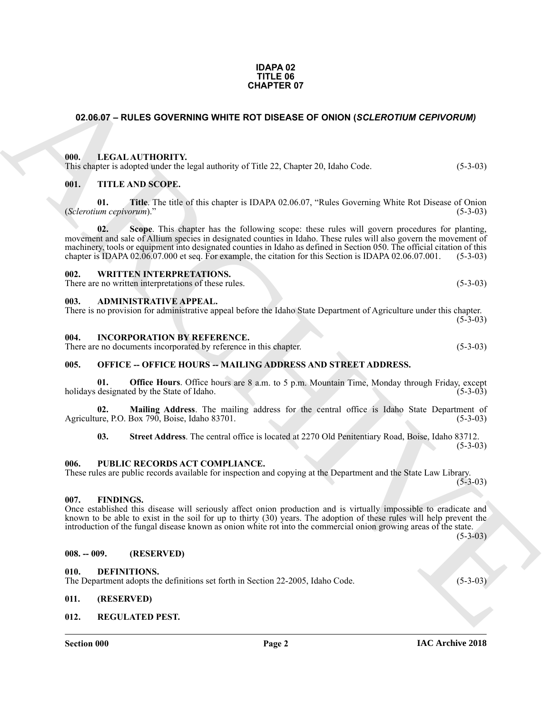#### **IDAPA 02 TITLE 06 CHAPTER 07**

### <span id="page-1-0"></span>**02.06.07 – RULES GOVERNING WHITE ROT DISEASE OF ONION (***SCLEROTIUM CEPIVORUM)*

#### <span id="page-1-1"></span>**000. LEGAL AUTHORITY.**

This chapter is adopted under the legal authority of Title 22, Chapter 20, Idaho Code. (5-3-03)

#### <span id="page-1-2"></span>**001. TITLE AND SCOPE.**

**01. Title**. The title of this chapter is IDAPA 02.06.07, "Rules Governing White Rot Disease of Onion (*Sclerotium cepivorum*)." (5-3-03)

**CHAPTER OF**<br> **CHAPTER OF**<br> **CHARCHIVE CONTINUES COVERNING WHITE ROT DISEASE OF ONION (SCLEROTIOM CEPYOROM)**<br> **CHARCHIVE CONTINUES CONTINUES**<br> **CHARCHIVE CONTINUES CONTINUES**<br> **CHARCHIVE CONTINUES CONTINUES CONTINUES CONT 02. Scope**. This chapter has the following scope: these rules will govern procedures for planting, movement and sale of Allium species in designated counties in Idaho. These rules will also govern the movement of machinery, tools or equipment into designated counties in Idaho as defined in Section 050. The official citation of this chapter is IDAPA 02.06.07.000 et seq. For example, the citation for this Section is IDAPA 02.06.07.001. (5-3-03)

#### <span id="page-1-3"></span>**002. WRITTEN INTERPRETATIONS.**

There are no written interpretations of these rules. (5-3-03)

#### <span id="page-1-4"></span>**003. ADMINISTRATIVE APPEAL.**

|  | There is no provision for administrative appeal before the Idaho State Department of Agriculture under this chapter. |            |
|--|----------------------------------------------------------------------------------------------------------------------|------------|
|  |                                                                                                                      | $(5-3-03)$ |

#### <span id="page-1-5"></span>**004. INCORPORATION BY REFERENCE.**

There are no documents incorporated by reference in this chapter. (5-3-03)

#### <span id="page-1-6"></span>**005. OFFICE -- OFFICE HOURS -- MAILING ADDRESS AND STREET ADDRESS.**

**01. Office Hours**. Office hours are 8 a.m. to 5 p.m. Mountain Time, Monday through Friday, except holidays designated by the State of Idaho. (5-3-03) (5-3-03)

**02. Mailing Address**. The mailing address for the central office is Idaho State Department of Agriculture, P.O. Box 790, Boise, Idaho 83701. (5-3-03)

**03. Street Address**. The central office is located at 2270 Old Penitentiary Road, Boise, Idaho 83712.

 $(5-3-03)$ 

#### <span id="page-1-7"></span>**006. PUBLIC RECORDS ACT COMPLIANCE.**

These rules are public records available for inspection and copying at the Department and the State Law Library.  $(5-3-03)$ 

#### <span id="page-1-8"></span>**007. FINDINGS.**

Once established this disease will seriously affect onion production and is virtually impossible to eradicate and known to be able to exist in the soil for up to thirty (30) years. The adoption of these rules will help prevent the introduction of the fungal disease known as onion white rot into the commercial onion growing areas of the state.

 $(5-3-03)$ 

#### <span id="page-1-9"></span>**008. -- 009. (RESERVED)**

#### <span id="page-1-13"></span><span id="page-1-10"></span>**010. DEFINITIONS.**

The Department adopts the definitions set forth in Section 22-2005, Idaho Code. (5-3-03)

#### <span id="page-1-11"></span>**011. (RESERVED)**

#### <span id="page-1-14"></span><span id="page-1-12"></span>**012. REGULATED PEST.**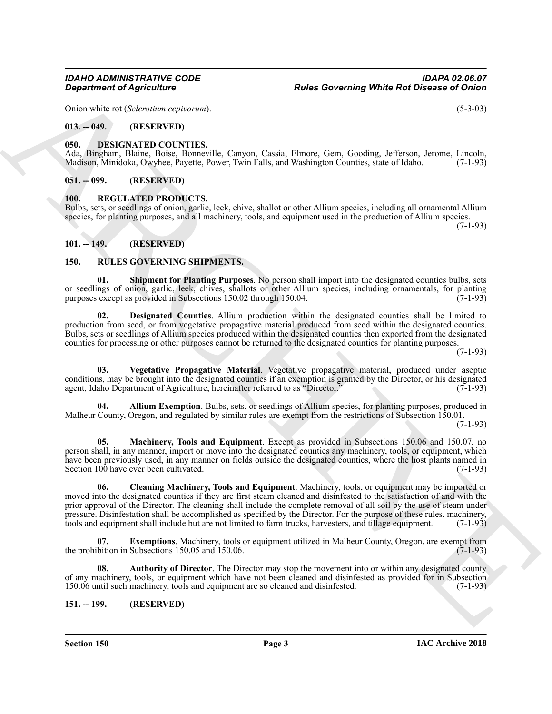Onion white rot (*Sclerotium cepivorum*). (5-3-03)

# <span id="page-2-0"></span>**013. -- 049. (RESERVED)**

# <span id="page-2-7"></span><span id="page-2-1"></span>**050. DESIGNATED COUNTIES.**

Ada, Bingham, Blaine, Boise, Bonneville, Canyon, Cassia, Elmore, Gem, Gooding, Jefferson, Jerome, Lincoln, Madison, Minidoka, Owyhee, Pavette, Power, Twin Falls, and Washington Counties, state of Idaho. (7-1-93) Madison, Minidoka, Owyhee, Payette, Power, Twin Falls, and Washington Counties, state of Idaho.

#### <span id="page-2-2"></span>**051. -- 099. (RESERVED)**

#### <span id="page-2-8"></span><span id="page-2-3"></span>**100. REGULATED PRODUCTS.**

Bulbs, sets, or seedlings of onion, garlic, leek, chive, shallot or other Allium species, including all ornamental Allium species, for planting purposes, and all machinery, tools, and equipment used in the production of Allium species.  $(7-1-93)$ 

<span id="page-2-4"></span>**101. -- 149. (RESERVED)**

# <span id="page-2-5"></span>**150. RULES GOVERNING SHIPMENTS.**

<span id="page-2-15"></span>**01. Shipment for Planting Purposes**. No person shall import into the designated counties bulbs, sets or seedlings of onion, garlic, leek, chives, shallots or other Allium species, including ornamentals, for planting purposes except as provided in Subsections 150.02 through 150.04. purposes except as provided in Subsections 150.02 through 150.04.

<span id="page-2-12"></span>**02. Designated Counties**. Allium production within the designated counties shall be limited to production from seed, or from vegetative propagative material produced from seed within the designated counties. Bulbs, sets or seedlings of Allium species produced within the designated counties then exported from the designated counties for processing or other purposes cannot be returned to the designated counties for planting purposes.

 $(7-1-93)$ 

<span id="page-2-16"></span>**03. Vegetative Propagative Material**. Vegetative propagative material, produced under aseptic conditions, may be brought into the designated counties if an exemption is granted by the Director, or his designated agent, Idaho Department of Agriculture, hereinafter referred to as "Director." (7-1-93)

<span id="page-2-9"></span>**04. Allium Exemption**. Bulbs, sets, or seedlings of Allium species, for planting purposes, produced in Malheur County, Oregon, and regulated by similar rules are exempt from the restrictions of Subsection 150.01.

(7-1-93)

<span id="page-2-14"></span><span id="page-2-11"></span>**05. Machinery, Tools and Equipment**. Except as provided in Subsections 150.06 and 150.07, no person shall, in any manner, import or move into the designated counties any machinery, tools, or equipment, which have been previously used, in any manner on fields outside the designated counties, where the host plants named in Section 100 have ever been cultivated. (7-1-93)

**Equation of Agriculture 114**<br>
Units and the Mathematic Control of the Control of the Control of the Control of the Control of the Control of the Control of the Control of the Control of the Control of the Control of the **06. Cleaning Machinery, Tools and Equipment**. Machinery, tools, or equipment may be imported or moved into the designated counties if they are first steam cleaned and disinfested to the satisfaction of and with the prior approval of the Director. The cleaning shall include the complete removal of all soil by the use of steam under pressure. Disinfestation shall be accomplished as specified by the Director. For the purpose of these rules, machinery, tools and equipment shall include but are not limited to farm trucks, harvesters, and tillage equipment. (7-1-93)

<span id="page-2-13"></span>**07. Exemptions**. Machinery, tools or equipment utilized in Malheur County, Oregon, are exempt from bition in Subsections 150.05 and 150.06. the prohibition in Subsections 150.05 and 150.06.

<span id="page-2-10"></span>**08. Authority of Director**. The Director may stop the movement into or within any designated county of any machinery, tools, or equipment which have not been cleaned and disinfested as provided for in Subsection 150.06 until such machinery, tools and equipment are so cleaned and disinfested. (7-1-93)

<span id="page-2-6"></span>**151. -- 199. (RESERVED)**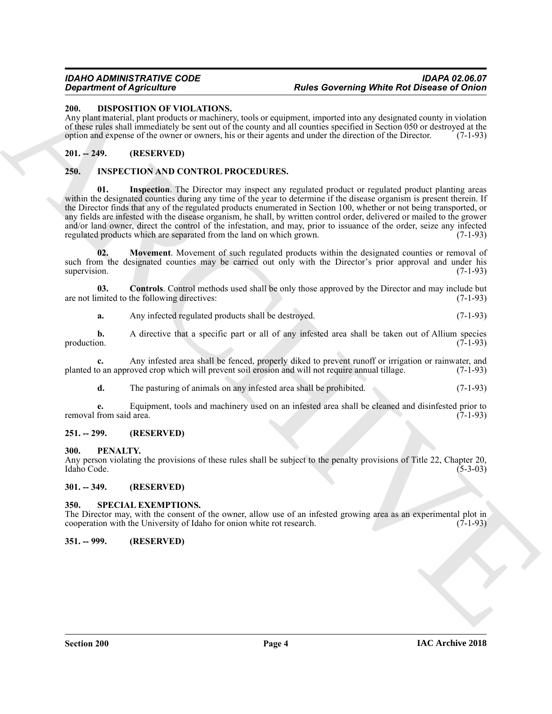### <span id="page-3-8"></span><span id="page-3-0"></span>**200. DISPOSITION OF VIOLATIONS.**

Any plant material, plant products or machinery, tools or equipment, imported into any designated county in violation of these rules shall immediately be sent out of the county and all counties specified in Section 050 or destroyed at the option and expense of the owner or owners, his or their agents and under the direction of the Director. (7-1-93)

### <span id="page-3-1"></span>**201. -- 249. (RESERVED)**

## <span id="page-3-11"></span><span id="page-3-9"></span><span id="page-3-2"></span>**250. INSPECTION AND CONTROL PROCEDURES.**

**Example the distribution** Control of the state of the state of the state of the state of the state of the state of the state of the state of the state of the state of the state of the state of the state of the state of t **Inspection**. The Director may inspect any regulated product or regulated product planting areas within the designated counties during any time of the year to determine if the disease organism is present therein. If the Director finds that any of the regulated products enumerated in Section 100, whether or not being transported, or any fields are infested with the disease organism, he shall, by written control order, delivered or mailed to the grower and/or land owner, direct the control of the infestation, and may, prior to issuance of the order, seize any infected regulated products which are separated from the land on which grown. (7-1-93)

<span id="page-3-12"></span>**02. Movement**. Movement of such regulated products within the designated counties or removal of such from the designated counties may be carried out only with the Director's prior approval and under his supervision. (7-1-93)

**03. Controls**. Control methods used shall be only those approved by the Director and may include but mited to the following directives: (7-1-93) are not limited to the following directives:

<span id="page-3-10"></span>**a.** Any infected regulated products shall be destroyed. (7-1-93)

**b.** A directive that a specific part or all of any infested area shall be taken out of Allium species production.  $(7-1-93)$ 

**c.** Any infested area shall be fenced, properly diked to prevent runoff or irrigation or rainwater, and planted to an approved crop which will prevent soil erosion and will not require annual tillage. (7-1-93)

**d.** The pasturing of animals on any infested area shall be prohibited. (7-1-93)

**e.** Equipment, tools and machinery used on an infested area shall be cleaned and disinfested prior to from said area. (7-1-93) removal from said area.

### <span id="page-3-3"></span>**251. -- 299. (RESERVED)**

#### <span id="page-3-4"></span>**300. PENALTY.**

Any person violating the provisions of these rules shall be subject to the penalty provisions of Title 22, Chapter 20, Idaho Code. (5-3-03)

#### <span id="page-3-5"></span>**301. -- 349. (RESERVED)**

#### <span id="page-3-13"></span><span id="page-3-6"></span>**350. SPECIAL EXEMPTIONS.**

The Director may, with the consent of the owner, allow use of an infested growing area as an experimental plot in cooperation with the University of Idaho for onion white rot research. (7-1-93)

### <span id="page-3-7"></span>**351. -- 999. (RESERVED)**